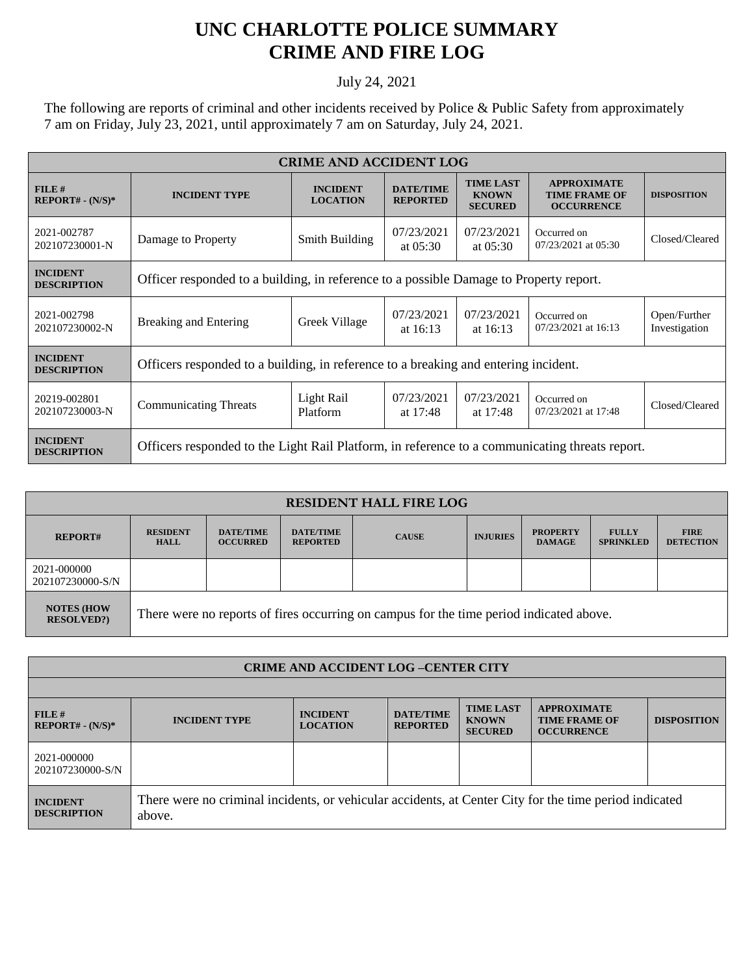## **UNC CHARLOTTE POLICE SUMMARY CRIME AND FIRE LOG**

## July 24, 2021

The following are reports of criminal and other incidents received by Police & Public Safety from approximately 7 am on Friday, July 23, 2021, until approximately 7 am on Saturday, July 24, 2021.

| <b>CRIME AND ACCIDENT LOG</b>         |                                                                                                |                                    |                                     |                                                    |                                                                 |                               |  |
|---------------------------------------|------------------------------------------------------------------------------------------------|------------------------------------|-------------------------------------|----------------------------------------------------|-----------------------------------------------------------------|-------------------------------|--|
| FILE#<br>$REPORT# - (N/S)*$           | <b>INCIDENT TYPE</b>                                                                           | <b>INCIDENT</b><br><b>LOCATION</b> | <b>DATE/TIME</b><br><b>REPORTED</b> | <b>TIME LAST</b><br><b>KNOWN</b><br><b>SECURED</b> | <b>APPROXIMATE</b><br><b>TIME FRAME OF</b><br><b>OCCURRENCE</b> | <b>DISPOSITION</b>            |  |
| 2021-002787<br>202107230001-N         | Damage to Property                                                                             | Smith Building                     | 07/23/2021<br>at $05:30$            | 07/23/2021<br>at $05:30$                           | Occurred on<br>07/23/2021 at 05:30                              | Closed/Cleared                |  |
| <b>INCIDENT</b><br><b>DESCRIPTION</b> | Officer responded to a building, in reference to a possible Damage to Property report.         |                                    |                                     |                                                    |                                                                 |                               |  |
| 2021-002798<br>202107230002-N         | <b>Breaking and Entering</b>                                                                   | Greek Village                      | 07/23/2021<br>at $16:13$            | 07/23/2021<br>at $16:13$                           | Occurred on<br>07/23/2021 at 16:13                              | Open/Further<br>Investigation |  |
| <b>INCIDENT</b><br><b>DESCRIPTION</b> | Officers responded to a building, in reference to a breaking and entering incident.            |                                    |                                     |                                                    |                                                                 |                               |  |
| 20219-002801<br>202107230003-N        | <b>Communicating Threats</b>                                                                   | Light Rail<br>Platform             | 07/23/2021<br>at 17:48              | 07/23/2021<br>at 17:48                             | Occurred on<br>07/23/2021 at 17:48                              | Closed/Cleared                |  |
| <b>INCIDENT</b><br><b>DESCRIPTION</b> | Officers responded to the Light Rail Platform, in reference to a communicating threats report. |                                    |                                     |                                                    |                                                                 |                               |  |

| <b>RESIDENT HALL FIRE LOG</b>         |                                                                                         |                                     |                                     |              |                 |                                  |                                  |                                 |  |
|---------------------------------------|-----------------------------------------------------------------------------------------|-------------------------------------|-------------------------------------|--------------|-----------------|----------------------------------|----------------------------------|---------------------------------|--|
| <b>REPORT#</b>                        | <b>RESIDENT</b><br><b>HALL</b>                                                          | <b>DATE/TIME</b><br><b>OCCURRED</b> | <b>DATE/TIME</b><br><b>REPORTED</b> | <b>CAUSE</b> | <b>INJURIES</b> | <b>PROPERTY</b><br><b>DAMAGE</b> | <b>FULLY</b><br><b>SPRINKLED</b> | <b>FIRE</b><br><b>DETECTION</b> |  |
| 2021-000000<br>202107230000-S/N       |                                                                                         |                                     |                                     |              |                 |                                  |                                  |                                 |  |
| <b>NOTES (HOW</b><br><b>RESOLVED?</b> | There were no reports of fires occurring on campus for the time period indicated above. |                                     |                                     |              |                 |                                  |                                  |                                 |  |

| <b>CRIME AND ACCIDENT LOG-CENTER CITY</b> |                                                                                                                  |                                    |                                     |                                                    |                                                                 |                    |  |
|-------------------------------------------|------------------------------------------------------------------------------------------------------------------|------------------------------------|-------------------------------------|----------------------------------------------------|-----------------------------------------------------------------|--------------------|--|
|                                           |                                                                                                                  |                                    |                                     |                                                    |                                                                 |                    |  |
| FILE#<br>$REPORT# - (N/S)*$               | <b>INCIDENT TYPE</b>                                                                                             | <b>INCIDENT</b><br><b>LOCATION</b> | <b>DATE/TIME</b><br><b>REPORTED</b> | <b>TIME LAST</b><br><b>KNOWN</b><br><b>SECURED</b> | <b>APPROXIMATE</b><br><b>TIME FRAME OF</b><br><b>OCCURRENCE</b> | <b>DISPOSITION</b> |  |
| 2021-000000<br>202107230000-S/N           |                                                                                                                  |                                    |                                     |                                                    |                                                                 |                    |  |
| <b>INCIDENT</b><br><b>DESCRIPTION</b>     | There were no criminal incidents, or vehicular accidents, at Center City for the time period indicated<br>above. |                                    |                                     |                                                    |                                                                 |                    |  |